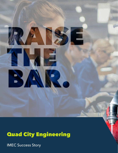# Quad City Engineering

Е

IMEC Success Story

B)